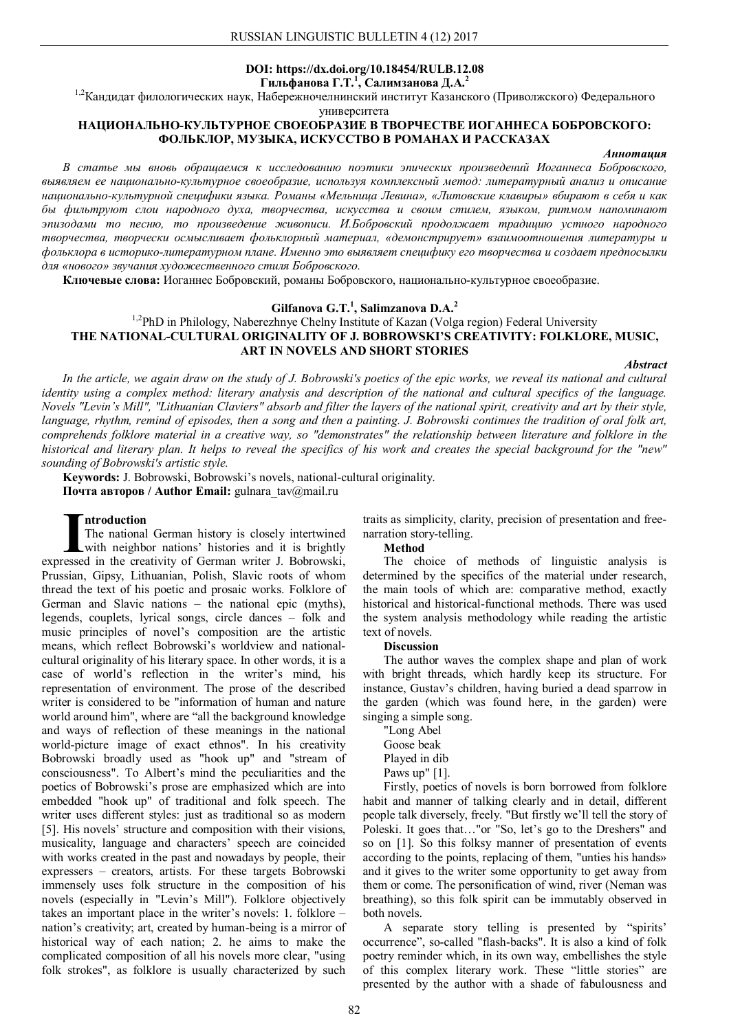## **DOI: https://dx.doi.org/10.18454/RULB.12.08 Гильфанова Г.Т.<sup>1</sup> , Салимзанова Д.А.<sup>2</sup>**

1,2Кандидат филологических наук, Набережночелнинский институт Казанского (Приволжского) Федерального

университета

# **НАЦИОНАЛЬНО-КУЛЬТУРНОЕ СВОЕОБРАЗИЕ В ТВОРЧЕСТВЕ ИОГАННЕСА БОБРОВСКОГО: ФОЛЬКЛОР, МУЗЫКА, ИСКУССТВО В РОМАНАХ И РАССКАЗАХ**

#### *Аннотация*

*В статье мы вновь обращаемся к исследованию поэтики эпических произведений Иоганнеса Бобровского, выявляем ее национально-культурное своеобразие, используя комплексный метод: литературный анализ и описание национально-культурной специфики языка. Романы «Мельница Левина», «Литовские клавиры» вбирают в себя и как бы фильтруют слои народного духа, творчества, искусства и своим стилем, языком, ритмом напоминают эпизодами то песню, то произведение живописи. И.Бобровский продолжает традицию устного народного творчества, творчески осмысливает фольклорный материал, «демонстрирует» взаимоотношения литературы и фольклора в историко-литературном плане. Именно это выявляет специфику его творчества и создает предпосылки для «нового» звучания художественного стиля Бобровского.*

**Ключевые слова:** Иоганнес Бобровский, романы Бобровского, национально-культурное своеобразие.

# **Gilfanova G.T.<sup>1</sup> , Salimzanova D.A.<sup>2</sup>**

## <sup>1,2</sup>PhD in Philology, Naberezhnye Chelny Institute of Kazan (Volga region) Federal University **THE NATIONAL-CULTURAL ORIGINALITY OF J. BOBROWSKI'S CREATIVITY: FOLKLORE, MUSIC, ART IN NOVELS AND SHORT STORIES**

*Abstract*

*In the article, we again draw on the study of J. Bobrowski's poetics of the epic works, we reveal its national and cultural identity using a complex method: literary analysis and description of the national and cultural specifics of the language. Novels "Levin's Mill", "Lithuanian Claviers" absorb and filter the layers of the national spirit, creativity and art by their style, language, rhythm, remind of episodes, then a song and then a painting. J. Bobrowski continues the tradition of oral folk art, comprehends folklore material in a creative way, so "demonstrates" the relationship between literature and folklore in the historical and literary plan. It helps to reveal the specifics of his work and creates the special background for the "new" sounding of Bobrowski's artistic style.*

**Keywords:** J. Bobrowski, Bobrowski's novels, national-cultural originality. **Почта авторов / Author Email:** gulnara\_tav@mail.ru

#### **ntroduction**

The national German history is closely intertwined with neighbor nations' histories and it is brightly **Expanding The national German history is closely intertwined with neighbor nations' histories and it is brightly expressed in the creativity of German writer J. Bobrowski,** Prussian, Gipsy, Lithuanian, Polish, Slavic roots of whom thread the text of his poetic and prosaic works. Folklore of German and Slavic nations – the national epic (myths), legends, couplets, lyrical songs, circle dances – folk and music principles of novel's composition are the artistic means, which reflect Bobrowski's worldview and nationalcultural originality of his literary space. In other words, it is a case of world's reflection in the writer's mind, his representation of environment. The prose of the described writer is considered to be "information of human and nature world around him", where are "all the background knowledge and ways of reflection of these meanings in the national world-picture image of exact ethnos". In his creativity Bobrowski broadly used as "hook up" and "stream of consciousness". To Albert's mind the peculiarities and the poetics of Bobrowski's prose are emphasized which are into embedded "hook up" of traditional and folk speech. The writer uses different styles: just as traditional so as modern [5]. His novels' structure and composition with their visions, musicality, language and characters' speech are coincided with works created in the past and nowadays by people, their expressers – creators, artists. For these targets Bobrowski immensely uses folk structure in the composition of his novels (especially in "Levin's Mill"). Folklore objectively takes an important place in the writer's novels: 1. folklore – nation's creativity; art, created by human-being is a mirror of historical way of each nation; 2. he aims to make the complicated composition of all his novels more clear, "using folk strokes", as folklore is usually characterized by such

traits as simplicity, clarity, precision of presentation and freenarration story-telling.

### **Method**

The choice of methods of linguistic analysis is determined by the specifics of the material under research, the main tools of which are: comparative method, exactly historical and historical-functional methods. There was used the system analysis methodology while reading the artistic text of novels.

#### **Discussion**

The author waves the complex shape and plan of work with bright threads, which hardly keep its structure. For instance, Gustav's children, having buried a dead sparrow in the garden (which was found here, in the garden) were singing a simple song.

"Long Abel Goose beak Played in dib Paws up" [1].

Firstly, poetics of novels is born borrowed from folklore habit and manner of talking clearly and in detail, different people talk diversely, freely. "But firstly we'll tell the story of Poleski. It goes that…"or "So, let's go to the Dreshers" and so on [1]. So this folksy manner of presentation of events according to the points, replacing of them, "unties his hands» and it gives to the writer some opportunity to get away from them or come. The personification of wind, river (Neman was breathing), so this folk spirit can be immutably observed in both novels.

A separate story telling is presented by "spirits' occurrence", so-called "flash-backs". It is also a kind of folk poetry reminder which, in its own way, embellishes the style of this complex literary work. These "little stories" are presented by the author with a shade of fabulousness and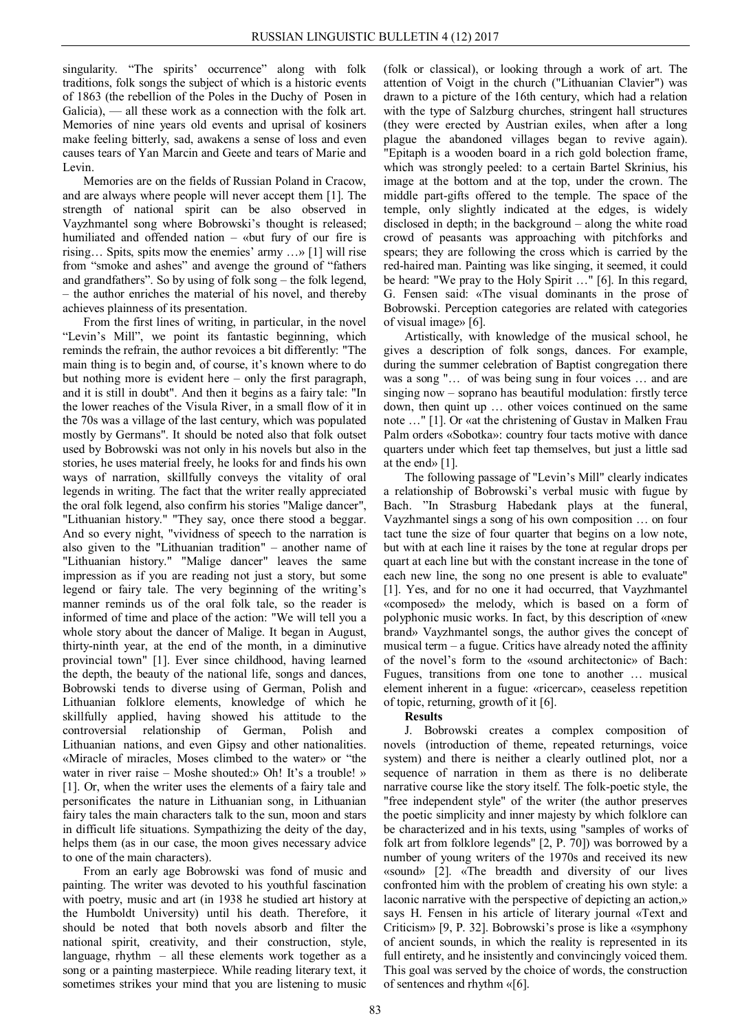singularity. "The spirits' occurrence" along with folk traditions, folk songs the subject of which is a historic events of 1863 (the rebellion of the Poles in the Duchy of Posen in Galicia), — all these work as a connection with the folk art. Memories of nine years old events and uprisal of kosiners make feeling bitterly, sad, awakens a sense of loss and even causes tears of Yan Marcin and Geete and tears of Marie and Levin.

Memories are on the fields of Russian Poland in Cracow, and are always where people will never accept them [1]. The strength of national spirit can be also observed in Vayzhmantel song where Bobrowski's thought is released; humiliated and offended nation – «but fury of our fire is rising… Spits, spits mow the enemies' army …» [1] will rise from "smoke and ashes" and avenge the ground of "fathers and grandfathers". So by using of folk song – the folk legend, – the author enriches the material of his novel, and thereby achieves plainness of its presentation.

From the first lines of writing, in particular, in the novel "Levin's Mill", we point its fantastic beginning, which reminds the refrain, the author revoices a bit differently: "The main thing is to begin and, of course, it's known where to do but nothing more is evident here – only the first paragraph, and it is still in doubt". And then it begins as a fairy tale: "In the lower reaches of the Visula River, in a small flow of it in the 70s was a village of the last century, which was populated mostly by Germans". It should be noted also that folk outset used by Bobrowski was not only in his novels but also in the stories, he uses material freely, he looks for and finds his own ways of narration, skillfully conveys the vitality of oral legends in writing. The fact that the writer really appreciated the oral folk legend, also confirm his stories "Malige dancer", "Lithuanian history." "They say, once there stood a beggar. And so every night, "vividness of speech to the narration is also given to the "Lithuanian tradition" – another name of "Lithuanian history." "Malige dancer" leaves the same impression as if you are reading not just a story, but some legend or fairy tale. The very beginning of the writing's manner reminds us of the oral folk tale, so the reader is informed of time and place of the action: "We will tell you a whole story about the dancer of Malige. It began in August, thirty-ninth year, at the end of the month, in a diminutive provincial town" [1]. Ever since childhood, having learned the depth, the beauty of the national life, songs and dances, Bobrowski tends to diverse using of German, Polish and Lithuanian folklore elements, knowledge of which he skillfully applied, having showed his attitude to the controversial relationship of German, Polish and Lithuanian nations, and even Gipsy and other nationalities. «Miracle of miracles, Moses climbed to the water» or "the water in river raise – Moshe shouted:» Oh! It's a trouble! » [1]. Or, when the writer uses the elements of a fairy tale and personificates the nature in Lithuanian song, in Lithuanian fairy tales the main characters talk to the sun, moon and stars in difficult life situations. Sympathizing the deity of the day, helps them (as in our case, the moon gives necessary advice to one of the main characters).

From an early age Bobrowski was fond of music and painting. The writer was devoted to his youthful fascination with poetry, music and art (in 1938 he studied art history at the Humboldt University) until his death. Therefore, it should be noted that both novels absorb and filter the national spirit, creativity, and their construction, style, language, rhythm – all these elements work together as a song or a painting masterpiece. While reading literary text, it sometimes strikes your mind that you are listening to music

(folk or classical), or looking through a work of art. The attention of Voigt in the church ("Lithuanian Clavier") was drawn to a picture of the 16th century, which had a relation with the type of Salzburg churches, stringent hall structures (they were erected by Austrian exiles, when after a long plague the abandoned villages began to revive again). "Epitaph is a wooden board in a rich gold bolection frame, which was strongly peeled: to a certain Bartel Skrinius, his image at the bottom and at the top, under the crown. The middle part-gifts offered to the temple. The space of the temple, only slightly indicated at the edges, is widely disclosed in depth; in the background – along the white road crowd of peasants was approaching with pitchforks and spears; they are following the cross which is carried by the red-haired man. Painting was like singing, it seemed, it could be heard: "We pray to the Holy Spirit …" [6]. In this regard, G. Fensen said: «The visual dominants in the prose of Bobrowski. Perception categories are related with categories of visual image» [6].

Artistically, with knowledge of the musical school, he gives a description of folk songs, dances. For example, during the summer celebration of Baptist congregation there was a song "… of was being sung in four voices … and are singing now – soprano has beautiful modulation: firstly terce down, then quint up … other voices continued on the same note …" [1]. Or «at the christening of Gustav in Malken Frau Palm orders «Sobotka»: country four tacts motive with dance quarters under which feet tap themselves, but just a little sad at the end» [1].

The following passage of "Levin's Mill" clearly indicates a relationship of Bobrowski's verbal music with fugue by Bach. "In Strasburg Habedank plays at the funeral, Vayzhmantel sings a song of his own composition … on four tact tune the size of four quarter that begins on a low note, but with at each line it raises by the tone at regular drops per quart at each line but with the constant increase in the tone of each new line, the song no one present is able to evaluate" [1]. Yes, and for no one it had occurred, that Vayzhmantel «composed» the melody, which is based on a form of polyphonic music works. In fact, by this description of «new brand» Vayzhmantel songs, the author gives the concept of musical term – a fugue. Critics have already noted the affinity of the novel's form to the «sound architectonic» of Bach: Fugues, transitions from one tone to another … musical element inherent in a fugue: «ricercar», ceaseless repetition of topic, returning, growth of it [6].

## **Results**

J. Bobrowski creates a complex composition of novels (introduction of theme, repeated returnings, voice system) and there is neither a clearly outlined plot, nor a sequence of narration in them as there is no deliberate narrative course like the story itself. The folk-poetic style, the "free independent style" of the writer (the author preserves the poetic simplicity and inner majesty by which folklore can be characterized and in his texts, using "samples of works of folk art from folklore legends" [2, P. 70]) was borrowed by a number of young writers of the 1970s and received its new «sound» [2]. «The breadth and diversity of our lives confronted him with the problem of creating his own style: a laconic narrative with the perspective of depicting an action,» says H. Fensen in his article of literary journal «Text and Criticism» [9, P. 32]. Bobrowski's prose is like a «symphony of ancient sounds, in which the reality is represented in its full entirety, and he insistently and convincingly voiced them. This goal was served by the choice of words, the construction of sentences and rhythm «[6].